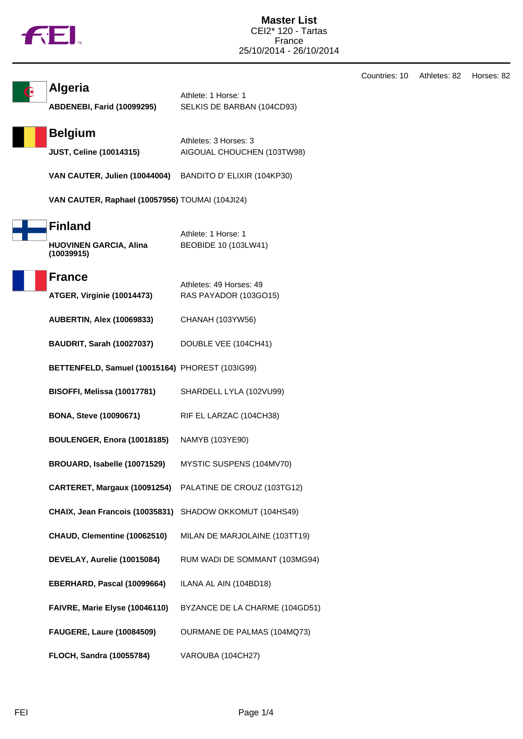|  | M |
|--|---|
|  |   |

|                                                               |                                                     | Countries: 10 | Athletes: 82 | Horses: 82 |
|---------------------------------------------------------------|-----------------------------------------------------|---------------|--------------|------------|
| <b>Algeria</b><br>ABDENEBI, Farid (10099295)                  | Athlete: 1 Horse: 1<br>SELKIS DE BARBAN (104CD93)   |               |              |            |
| <b>Belgium</b><br><b>JUST, Celine (10014315)</b>              | Athletes: 3 Horses: 3<br>AIGOUAL CHOUCHEN (103TW98) |               |              |            |
| VAN CAUTER, Julien (10044004)                                 | BANDITO D' ELIXIR (104KP30)                         |               |              |            |
| VAN CAUTER, Raphael (10057956) TOUMAI (104JI24)               |                                                     |               |              |            |
| <b>Finland</b><br><b>HUOVINEN GARCIA, Alina</b><br>(10039915) | Athlete: 1 Horse: 1<br>BEOBIDE 10 (103LW41)         |               |              |            |
| <b>France</b><br><b>ATGER, Virginie (10014473)</b>            | Athletes: 49 Horses: 49<br>RAS PAYADOR (103GO15)    |               |              |            |
| <b>AUBERTIN, Alex (10069833)</b>                              | CHANAH (103YW56)                                    |               |              |            |
| <b>BAUDRIT, Sarah (10027037)</b>                              | DOUBLE VEE (104CH41)                                |               |              |            |
| BETTENFELD, Samuel (10015164) PHOREST (103IG99)               |                                                     |               |              |            |
| BISOFFI, Melissa (10017781)                                   | SHARDELL LYLA (102VU99)                             |               |              |            |
| <b>BONA, Steve (10090671)</b>                                 | RIF EL LARZAC (104CH38)                             |               |              |            |
| BOULENGER, Enora (10018185)                                   | NAMYB (103YE90)                                     |               |              |            |
| BROUARD, Isabelle (10071529)                                  | MYSTIC SUSPENS (104MV70)                            |               |              |            |
| CARTERET, Margaux (10091254)                                  | PALATINE DE CROUZ (103TG12)                         |               |              |            |
| CHAIX, Jean Francois (10035831) SHADOW OKKOMUT (104HS49)      |                                                     |               |              |            |
| CHAUD, Clementine (10062510)                                  | MILAN DE MARJOLAINE (103TT19)                       |               |              |            |
| DEVELAY, Aurelie (10015084)                                   | RUM WADI DE SOMMANT (103MG94)                       |               |              |            |
| EBERHARD, Pascal (10099664)                                   | ILANA AL AIN (104BD18)                              |               |              |            |
| FAIVRE, Marie Elyse (10046110)                                | BYZANCE DE LA CHARME (104GD51)                      |               |              |            |
| <b>FAUGERE, Laure (10084509)</b>                              | OURMANE DE PALMAS (104MQ73)                         |               |              |            |
| FLOCH, Sandra (10055784)                                      | VAROUBA (104CH27)                                   |               |              |            |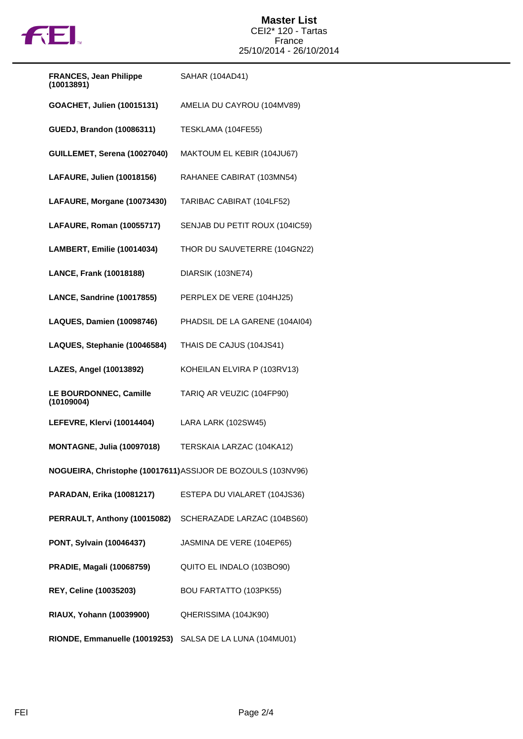

| <b>FRANCES, Jean Philippe</b><br>(10013891)                  | SAHAR (104AD41)                |  |
|--------------------------------------------------------------|--------------------------------|--|
| GOACHET, Julien (10015131)                                   | AMELIA DU CAYROU (104MV89)     |  |
| <b>GUEDJ, Brandon (10086311)</b>                             | TESKLAMA (104FE55)             |  |
| GUILLEMET, Serena (10027040)                                 | MAKTOUM EL KEBIR (104JU67)     |  |
| LAFAURE, Julien (10018156)                                   | RAHANEE CABIRAT (103MN54)      |  |
| LAFAURE, Morgane (10073430)                                  | TARIBAC CABIRAT (104LF52)      |  |
| LAFAURE, Roman (10055717)                                    | SENJAB DU PETIT ROUX (104IC59) |  |
| LAMBERT, Emilie (10014034)                                   | THOR DU SAUVETERRE (104GN22)   |  |
| LANCE, Frank (10018188)                                      | DIARSIK (103NE74)              |  |
| LANCE, Sandrine (10017855)                                   | PERPLEX DE VERE (104HJ25)      |  |
| <b>LAQUES, Damien (10098746)</b>                             | PHADSIL DE LA GARENE (104AI04) |  |
| LAQUES, Stephanie (10046584)                                 | THAIS DE CAJUS (104JS41)       |  |
| LAZES, Angel (10013892)                                      | KOHEILAN ELVIRA P (103RV13)    |  |
| LE BOURDONNEC, Camille<br>(10109004)                         | TARIQ AR VEUZIC (104FP90)      |  |
| LEFEVRE, Klervi (10014404)                                   | LARA LARK (102SW45)            |  |
| <b>MONTAGNE, Julia (10097018)</b>                            | TERSKAIA LARZAC (104KA12)      |  |
| NOGUEIRA, Christophe (10017611) ASSIJOR DE BOZOULS (103NV96) |                                |  |
| PARADAN, Erika (10081217)                                    | ESTEPA DU VIALARET (104JS36)   |  |
| PERRAULT, Anthony (10015082)                                 | SCHERAZADE LARZAC (104BS60)    |  |
| PONT, Sylvain (10046437)                                     | JASMINA DE VERE (104EP65)      |  |
| <b>PRADIE, Magali (10068759)</b>                             | QUITO EL INDALO (103BO90)      |  |
| REY, Celine (10035203)                                       | <b>BOU FARTATTO (103PK55)</b>  |  |
| RIAUX, Yohann (10039900)                                     | QHERISSIMA (104JK90)           |  |
| RIONDE, Emmanuelle (10019253)                                | SALSA DE LA LUNA (104MU01)     |  |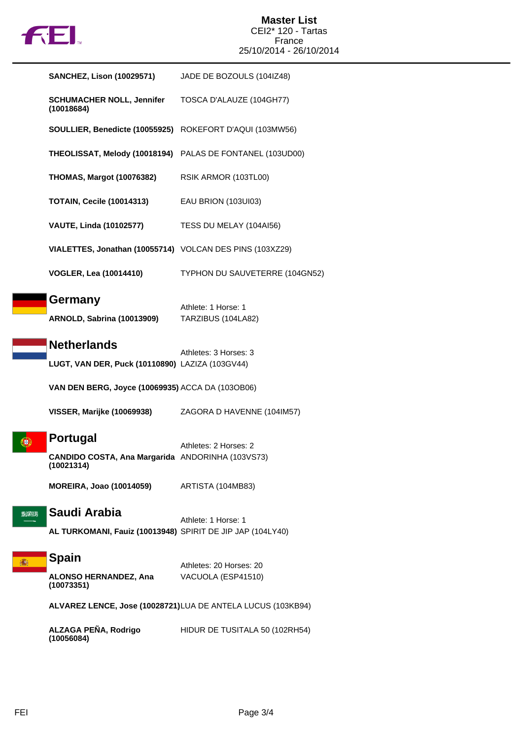

## **Master List** CEI2\* 120 - Tartas France 25/10/2014 - 26/10/2014

|          | <b>SANCHEZ, Lison (10029571)</b>                                                  | JADE DE BOZOULS (104IZ48)                                    |
|----------|-----------------------------------------------------------------------------------|--------------------------------------------------------------|
|          | <b>SCHUMACHER NOLL, Jennifer</b><br>(10018684)                                    | TOSCA D'ALAUZE (104GH77)                                     |
|          | SOULLIER, Benedicte (10055925) ROKEFORT D'AQUI (103MW56)                          |                                                              |
|          | THEOLISSAT, Melody (10018194) PALAS DE FONTANEL (103UD00)                         |                                                              |
|          | <b>THOMAS, Margot (10076382)</b>                                                  | RSIK ARMOR (103TL00)                                         |
|          | <b>TOTAIN, Cecile (10014313)</b>                                                  | EAU BRION (103UI03)                                          |
|          | <b>VAUTE, Linda (10102577)</b>                                                    | TESS DU MELAY (104AI56)                                      |
|          | VIALETTES, Jonathan (10055714) VOLCAN DES PINS (103XZ29)                          |                                                              |
|          | <b>VOGLER, Lea (10014410)</b>                                                     | TYPHON DU SAUVETERRE (104GN52)                               |
|          | Germany<br><b>ARNOLD, Sabrina (10013909)</b>                                      | Athlete: 1 Horse: 1<br>TARZIBUS (104LA82)                    |
|          | <b>Netherlands</b><br>LUGT, VAN DER, Puck (10110890) LAZIZA (103GV44)             | Athletes: 3 Horses: 3                                        |
|          | VAN DEN BERG, Joyce (10069935) ACCA DA (103OB06)                                  |                                                              |
|          | VISSER, Marijke (10069938)                                                        | ZAGORA D HAVENNE (104IM57)                                   |
|          | <b>Portugal</b><br>CANDIDO COSTA, Ana Margarida ANDORINHA (103VS73)<br>(10021314) | Athletes: 2 Horses: 2                                        |
|          | <b>MOREIRA, Joao (10014059)</b>                                                   | ARTISTA (104MB83)                                            |
| 2009 11: | Saudi Arabia<br>AL TURKOMANI, Fauiz (10013948) SPIRIT DE JIP JAP (104LY40)        | Athlete: 1 Horse: 1                                          |
| 蘠        | <b>Spain</b><br><b>ALONSO HERNANDEZ, Ana</b><br>(10073351)                        | Athletes: 20 Horses: 20<br>VACUOLA (ESP41510)                |
|          |                                                                                   | ALVAREZ LENCE, Jose (10028721) LUA DE ANTELA LUCUS (103KB94) |
|          | ALZAGA PEÑA, Rodrigo<br>(10056084)                                                | HIDUR DE TUSITALA 50 (102RH54)                               |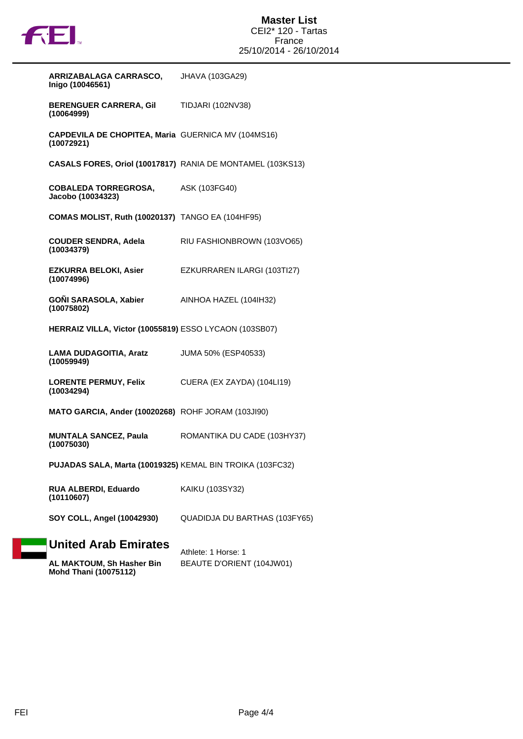

| ARRIZABALAGA CARRASCO,<br>Inigo (10046561)                       | JHAVA (103GA29)               |
|------------------------------------------------------------------|-------------------------------|
| BERENGUER CARRERA, Gil TIDJARI (102NV38)<br>(10064999)           |                               |
| CAPDEVILA DE CHOPITEA, Maria GUERNICA MV (104MS16)<br>(10072921) |                               |
| CASALS FORES, Oriol (10017817) RANIA DE MONTAMEL (103KS13)       |                               |
| COBALEDA TORREGROSA, ASK (103FG40)<br>Jacobo (10034323)          |                               |
| <b>COMAS MOLIST, Ruth (10020137) TANGO EA (104HF95)</b>          |                               |
| <b>COUDER SENDRA, Adela</b><br>(10034379)                        | RIU FASHIONBROWN (103VO65)    |
| <b>EZKURRA BELOKI, Asier</b><br>(10074996)                       | EZKURRAREN ILARGI (103TI27)   |
| GOÑI SARASOLA, Xabier AINHOA HAZEL (104IH32)<br>(10075802)       |                               |
| HERRAIZ VILLA, Victor (10055819) ESSO LYCAON (103SB07)           |                               |
| LAMA DUDAGOITIA, Aratz<br>(10059949)                             | JUMA 50% (ESP40533)           |
| LORENTE PERMUY, Felix CUERA (EX ZAYDA) (104LI19)<br>(10034294)   |                               |
| MATO GARCIA, Ander (10020268) ROHF JORAM (103JI90)               |                               |
| <b>MUNTALA SANCEZ, Paula</b><br>(10075030)                       | ROMANTIKA DU CADE (103HY37)   |
| PUJADAS SALA, Marta (10019325) KEMAL BIN TROIKA (103FC32)        |                               |
| RUA ALBERDI, Eduardo<br>(10110607)                               | KAIKU (103SY32)               |
| SOY COLL, Angel (10042930)                                       | QUADIDJA DU BARTHAS (103FY65) |
| <b>United Arab Emirates</b>                                      | Athlete: 1 Horse: 1           |
| AL MAKTOUM, Sh Hasher Bin                                        | BEAUTE D'ORIENT (104JW01)     |

| AL MAKTOUM, Sh Hasher Bin    | <b>BEAUTE D'ORIENT (104JW</b> |
|------------------------------|-------------------------------|
| <b>Mohd Thani (10075112)</b> |                               |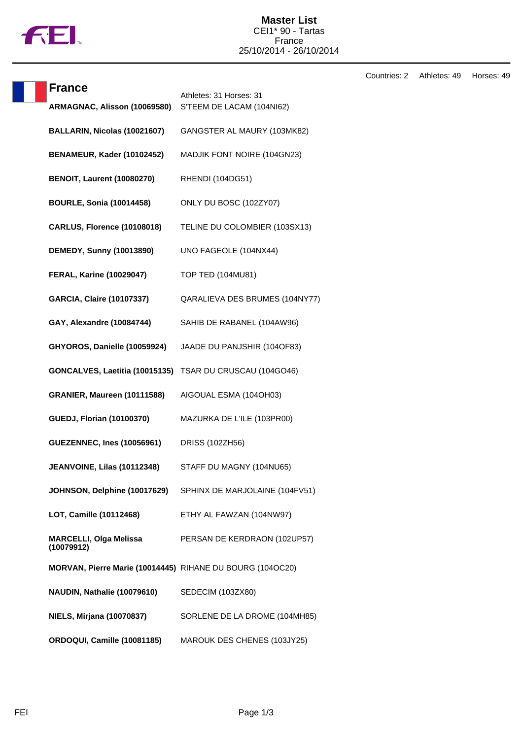

## **Master List** CEI1\* 90 - Tartas France 25/10/2014 - 26/10/2014

Countries: 2 Athletes: 49 Horses: 49

| <b>France</b>                                             |                                                      |
|-----------------------------------------------------------|------------------------------------------------------|
| ARMAGNAC, Alisson (10069580)                              | Athletes: 31 Horses: 31<br>S'TEEM DE LACAM (104NI62) |
| BALLARIN, Nicolas (10021607)                              | GANGSTER AL MAURY (103MK82)                          |
| BENAMEUR, Kader (10102452)                                | MADJIK FONT NOIRE (104GN23)                          |
| <b>BENOIT, Laurent (10080270)</b>                         | RHENDI (104DG51)                                     |
| <b>BOURLE, Sonia (10014458)</b>                           | ONLY DU BOSC (102ZY07)                               |
| <b>CARLUS, Florence (10108018)</b>                        | TELINE DU COLOMBIER (103SX13)                        |
| <b>DEMEDY, Sunny (10013890)</b>                           | UNO FAGEOLE (104NX44)                                |
| <b>FERAL, Karine (10029047)</b>                           | TOP TED (104MU81)                                    |
| <b>GARCIA, Claire (10107337)</b>                          | QARALIEVA DES BRUMES (104NY77)                       |
| GAY, Alexandre (10084744)                                 | SAHIB DE RABANEL (104AW96)                           |
| GHYOROS, Danielle (10059924)                              | JAADE DU PANJSHIR (104OF83)                          |
| GONCALVES, Laetitia (10015135)                            | TSAR DU CRUSCAU (104GO46)                            |
| GRANIER, Maureen (10111588)                               | AIGOUAL ESMA (104OH03)                               |
| <b>GUEDJ, Florian (10100370)</b>                          | MAZURKA DE L'ILE (103PR00)                           |
| <b>GUEZENNEC, Ines (10056961)</b>                         | DRISS (102ZH56)                                      |
| JEANVOINE, Lilas (10112348)                               | STAFF DU MAGNY (104NU65)                             |
| JOHNSON, Delphine (10017629)                              | SPHINX DE MARJOLAINE (104FV51)                       |
| LOT, Camille (10112468)                                   | ETHY AL FAWZAN (104NW97)                             |
| <b>MARCELLI, Olga Melissa</b><br>(10079912)               | PERSAN DE KERDRAON (102UP57)                         |
| MORVAN, Pierre Marie (10014445) RIHANE DU BOURG (104OC20) |                                                      |
| NAUDIN, Nathalie (10079610)                               | SEDECIM (103ZX80)                                    |
| <b>NIELS, Mirjana (10070837)</b>                          | SORLENE DE LA DROME (104MH85)                        |
| ORDOQUI, Camille (10081185)                               | MAROUK DES CHENES (103JY25)                          |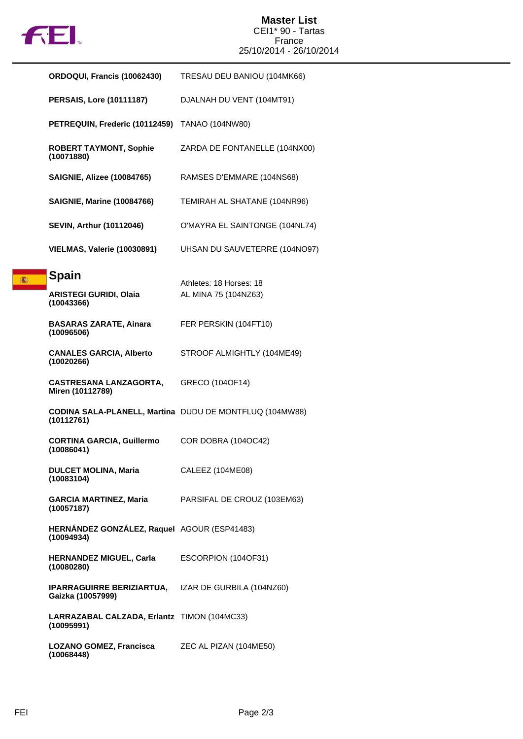

高

## **Master List** CEI1\* 90 - Tartas France 25/10/2014 - 26/10/2014

| ORDOQUI, Francis (10062430)                                                     | TRESAU DEU BANIOU (104MK66)                             |
|---------------------------------------------------------------------------------|---------------------------------------------------------|
| <b>PERSAIS, Lore (10111187)</b>                                                 | DJALNAH DU VENT (104MT91)                               |
| PETREQUIN, Frederic (10112459)                                                  | TANAO (104NW80)                                         |
| <b>ROBERT TAYMONT, Sophie</b><br>(10071880)                                     | ZARDA DE FONTANELLE (104NX00)                           |
| <b>SAIGNIE, Alizee (10084765)</b>                                               | RAMSES D'EMMARE (104NS68)                               |
| <b>SAIGNIE, Marine (10084766)</b>                                               | TEMIRAH AL SHATANE (104NR96)                            |
| <b>SEVIN, Arthur (10112046)</b>                                                 | O'MAYRA EL SAINTONGE (104NL74)                          |
| <b>VIELMAS, Valerie (10030891)</b>                                              | UHSAN DU SAUVETERRE (104NO97)                           |
| Spain<br><b>ARISTEGI GURIDI, Olaia</b><br>(10043366)                            | Athletes: 18 Horses: 18<br>AL MINA 75 (104NZ63)         |
| <b>BASARAS ZARATE, Ainara</b><br>(10096506)                                     | FER PERSKIN (104FT10)                                   |
| <b>CANALES GARCIA, Alberto</b><br>(10020266)                                    | STROOF ALMIGHTLY (104ME49)                              |
| <b>CASTRESANA LANZAGORTA,</b><br>Miren (10112789)                               | GRECO (104OF14)                                         |
| (10112761)                                                                      | CODINA SALA-PLANELL, Martina DUDU DE MONTFLUQ (104MW88) |
| <b>CORTINA GARCIA, Guillermo</b><br>(10086041)                                  | COR DOBRA (104OC42)                                     |
| <b>DULCET MOLINA, Maria</b><br>(10083104)                                       | CALEEZ (104ME08)                                        |
| <b>GARCIA MARTINEZ, Maria</b><br>(10057187)                                     | PARSIFAL DE CROUZ (103EM63)                             |
| HERNÁNDEZ GONZÁLEZ, Raquel AGOUR (ESP41483)<br>(10094934)                       |                                                         |
| <b>HERNANDEZ MIGUEL, Carla</b><br>(10080280)                                    | ESCORPION (104OF31)                                     |
| <b>IPARRAGUIRRE BERIZIARTUA, IZAR DE GURBILA (104NZ60)</b><br>Gaizka (10057999) |                                                         |
| LARRAZABAL CALZADA, Erlantz TIMON (104MC33)<br>(10095991)                       |                                                         |
| <b>LOZANO GOMEZ, Francisca</b><br>(10068448)                                    | ZEC AL PIZAN (104ME50)                                  |